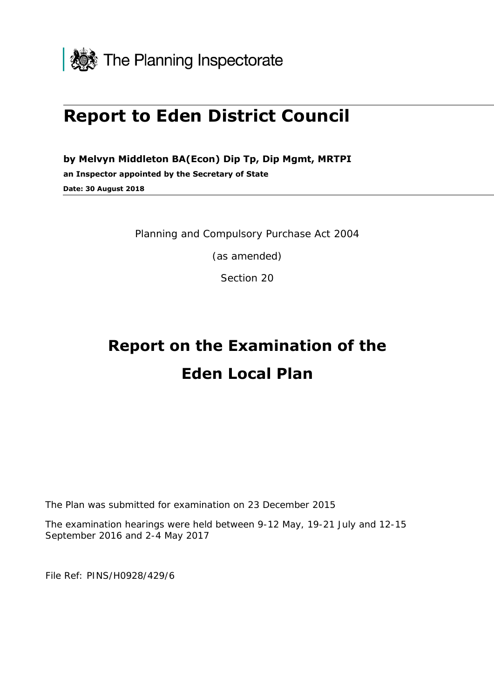

## **Report to Eden District Council**

**by Melvyn Middleton BA(Econ) Dip Tp, Dip Mgmt, MRTPI an Inspector appointed by the Secretary of State Date: 30 August 2018** 

Planning and Compulsory Purchase Act 2004

(as amended)

Section 20

# **Report on the Examination of the Eden Local Plan**

The Plan was submitted for examination on 23 December 2015

 The examination hearings were held between 9-12 May, 19-21 July and 12-15 September 2016 and 2-4 May 2017

File Ref: PINS/H0928/429/6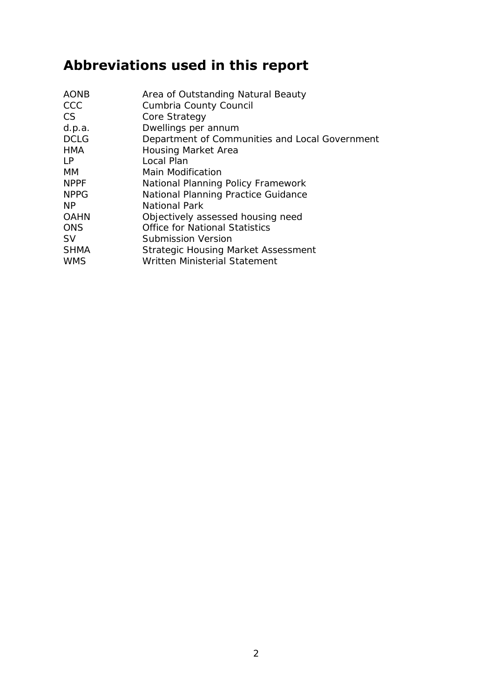## **Abbreviations used in this report**

| <b>AONB</b><br>CCC<br>CS<br>d.p.a.<br><b>DCLG</b><br><b>HMA</b><br>$\mathsf{P}$ | Area of Outstanding Natural Beauty<br>Cumbria County Council<br>Core Strategy<br>Dwellings per annum<br>Department of Communities and Local Government<br><b>Housing Market Area</b><br>Local Plan |
|---------------------------------------------------------------------------------|----------------------------------------------------------------------------------------------------------------------------------------------------------------------------------------------------|
| <b>MM</b>                                                                       | Main Modification                                                                                                                                                                                  |
| <b>NPPF</b>                                                                     | National Planning Policy Framework                                                                                                                                                                 |
| <b>NPPG</b>                                                                     | National Planning Practice Guidance                                                                                                                                                                |
| <b>NP</b>                                                                       | National Park                                                                                                                                                                                      |
| <b>OAHN</b>                                                                     | Objectively assessed housing need                                                                                                                                                                  |
| <b>ONS</b>                                                                      | <b>Office for National Statistics</b>                                                                                                                                                              |
| <b>SV</b>                                                                       | Submission Version                                                                                                                                                                                 |
| <b>SHMA</b>                                                                     | <b>Strategic Housing Market Assessment</b>                                                                                                                                                         |
| <b>WMS</b>                                                                      | Written Ministerial Statement                                                                                                                                                                      |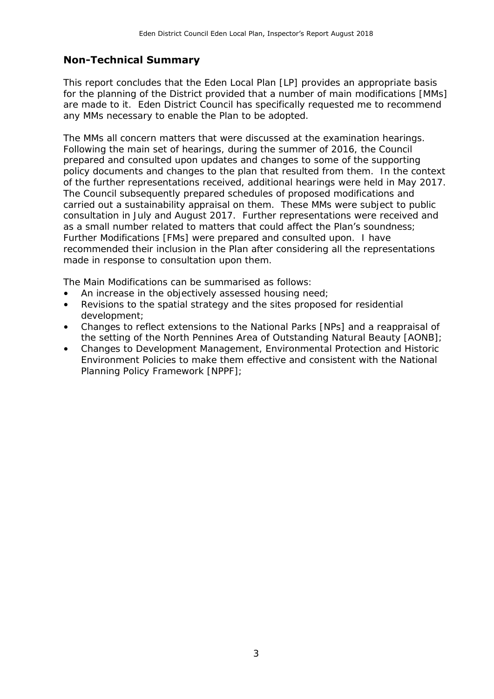#### **Non-Technical Summary**

 are made to it. Eden District Council has specifically requested me to recommend any MMs necessary to enable the Plan to be adopted. This report concludes that the Eden Local Plan [LP] provides an appropriate basis for the planning of the District provided that a number of main modifications [MMs]

 The MMs all concern matters that were discussed at the examination hearings. Following the main set of hearings, during the summer of 2016, the Council policy documents and changes to the plan that resulted from them. In the context of the further representations received, additional hearings were held in May 2017. carried out a sustainability appraisal on them. These MMs were subject to public consultation in July and August 2017. Further representations were received and as a small number related to matters that could affect the Plan's soundness; Further Modifications [FMs] were prepared and consulted upon. I have recommended their inclusion in the Plan after considering all the representations made in response to consultation upon them. prepared and consulted upon updates and changes to some of the supporting The Council subsequently prepared schedules of proposed modifications and

The Main Modifications can be summarised as follows:

- An increase in the objectively assessed housing need;
- Revisions to the spatial strategy and the sites proposed for residential development;
- Changes to reflect extensions to the National Parks [NPs] and a reappraisal of the setting of the North Pennines Area of Outstanding Natural Beauty [AONB];
- Changes to Development Management, Environmental Protection and Historic Environment Policies to make them effective and consistent with the National Planning Policy Framework [NPPF];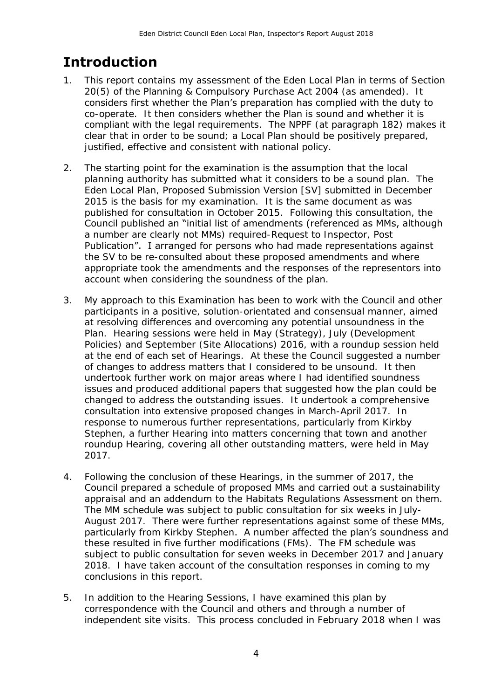## **Introduction**

- 1. This report contains my assessment of the Eden Local Plan in terms of Section 20(5) of the Planning & Compulsory Purchase Act 2004 (as amended). It considers first whether the Plan's preparation has complied with the duty to co-operate. It then considers whether the Plan is sound and whether it is compliant with the legal requirements. The NPPF (at paragraph 182) makes it clear that in order to be sound; a Local Plan should be positively prepared, justified, effective and consistent with national policy.
- 2. The starting point for the examination is the assumption that the local planning authority has submitted what it considers to be a sound plan. The Eden Local Plan, Proposed Submission Version [SV] submitted in December 2015 is the basis for my examination. It is the same document as was published for consultation in October 2015. Following this consultation, the Council published an "initial list of amendments (referenced as MMs, although a number are clearly not MMs) required-Request to Inspector, Post Publication". I arranged for persons who had made representations against the SV to be re-consulted about these proposed amendments and where account when considering the soundness of the plan. appropriate took the amendments and the responses of the representors into
- 3. My approach to this Examination has been to work with the Council and other participants in a positive, solution-orientated and consensual manner, aimed at resolving differences and overcoming any potential unsoundness in the Plan. Hearing sessions were held in May (Strategy), July (Development Policies) and September (Site Allocations) 2016, with a roundup session held at the end of each set of Hearings. At these the Council suggested a number of changes to address matters that I considered to be unsound. It then changed to address the outstanding issues. It undertook a comprehensive consultation into extensive proposed changes in March-April 2017. In response to numerous further representations, particularly from Kirkby Stephen, a further Hearing into matters concerning that town and another roundup Hearing, covering all other outstanding matters, were held in May 2017. undertook further work on major areas where I had identified soundness issues and produced additional papers that suggested how the plan could be
- 2017. 4. Following the conclusion of these Hearings, in the summer of 2017, the appraisal and an addendum to the Habitats Regulations Assessment on them. August 2017. There were further representations against some of these MMs, particularly from Kirkby Stephen. A number affected the plan's soundness and these resulted in five further modifications (FMs). The FM schedule was subject to public consultation for seven weeks in December 2017 and January 2018. I have taken account of the consultation responses in coming to my conclusions in this report. Council prepared a schedule of proposed MMs and carried out a sustainability The MM schedule was subject to public consultation for six weeks in July-
- 5. In addition to the Hearing Sessions, I have examined this plan by correspondence with the Council and others and through a number of independent site visits. This process concluded in February 2018 when I was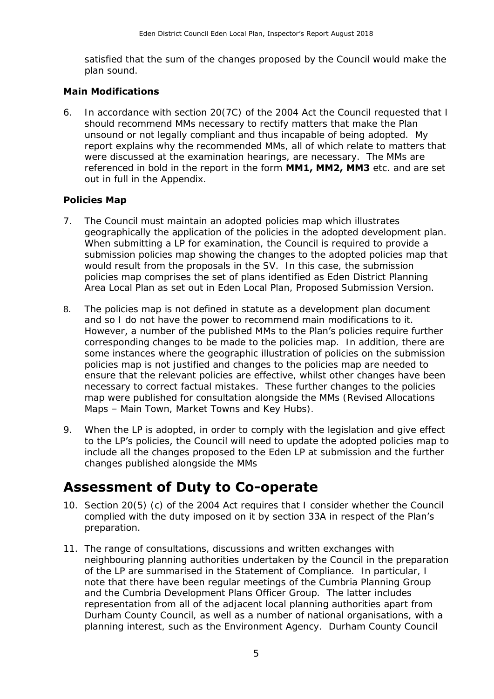satisfied that the sum of the changes proposed by the Council would make the plan sound.

#### **Main Modifications**

 should recommend MMs necessary to rectify matters that make the Plan unsound or not legally compliant and thus incapable of being adopted. My report explains why the recommended MMs, all of which relate to matters that were discussed at the examination hearings, are necessary. The MMs are referenced in bold in the report in the form **MM1, MM2, MM3** etc. and are set out in full in the Appendix. 6. In accordance with section 20(7C) of the 2004 Act the Council requested that I

#### **Policies Map**

- 7. The Council must maintain an adopted policies map which illustrates geographically the application of the policies in the adopted development plan. When submitting a LP for examination, the Council is required to provide a submission policies map showing the changes to the adopted policies map that would result from the proposals in the SV. In this case, the submission policies map comprises the set of plans identified as Eden District Planning Area Local Plan as set out in Eden Local Plan, Proposed Submission Version.
- and so I do not have the power to recommend main modifications to it. However, a number of the published MMs to the Plan's policies require further corresponding changes to be made to the policies map. In addition, there are policies map is not justified and changes to the policies map are needed to Maps – Main Town, Market Towns and Key Hubs). 8. The policies map is not defined in statute as a development plan document some instances where the geographic illustration of policies on the submission ensure that the relevant policies are effective, whilst other changes have been necessary to correct factual mistakes. These further changes to the policies map were published for consultation alongside the MMs (Revised Allocations
- 9. When the LP is adopted, in order to comply with the legislation and give effect changes published alongside the MMs to the LP's policies, the Council will need to update the adopted policies map to include all the changes proposed to the Eden LP at submission and the further

### **Assessment of Duty to Co-operate**

- 10. Section 20(5) (c) of the 2004 Act requires that I consider whether the Council complied with the duty imposed on it by section 33A in respect of the Plan's preparation.
- neighbouring planning authorities undertaken by the Council in the preparation of the LP are summarised in the Statement of Compliance. In particular, I note that there have been regular meetings of the Cumbria Planning Group and the Cumbria Development Plans Officer Group. The latter includes representation from all of the adjacent local planning authorities apart from Durham County Council, as well as a number of national organisations, with a planning interest, such as the Environment Agency. Durham County Council 11. The range of consultations, discussions and written exchanges with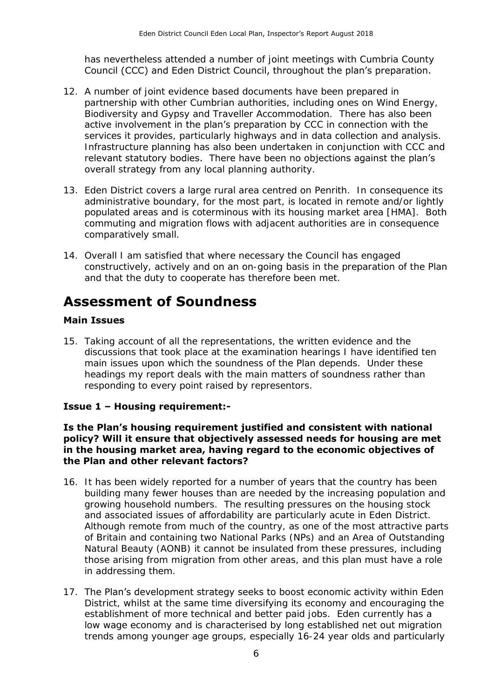has nevertheless attended a number of joint meetings with Cumbria County Council (CCC) and Eden District Council, throughout the plan's preparation.

- partnership with other Cumbrian authorities, including ones on Wind Energy, Biodiversity and Gypsy and Traveller Accommodation. There has also been active involvement in the plan's preparation by CCC in connection with the services it provides, particularly highways and in data collection and analysis. Infrastructure planning has also been undertaken in conjunction with CCC and relevant statutory bodies. There have been no objections against the plan's overall strategy from any local planning authority. 12. A number of joint evidence based documents have been prepared in
- 13. Eden District covers a large rural area centred on Penrith. In consequence its administrative boundary, for the most part, is located in remote and/or lightly populated areas and is coterminous with its housing market area [HMA]. Both commuting and migration flows with adjacent authorities are in consequence comparatively small.
- 14. Overall I am satisfied that where necessary the Council has engaged constructively, actively and on an on-going basis in the preparation of the Plan and that the duty to cooperate has therefore been met.

## **Assessment of Soundness**

#### **Main Issues**

 discussions that took place at the examination hearings I have identified ten main issues upon which the soundness of the Plan depends. Under these headings my report deals with the main matters of soundness rather than responding to every point raised by representors. 15. Taking account of all the representations, the written evidence and the

#### **Issue 1 – Housing requirement:-**

#### **Is the Plan's housing requirement justified and consistent with national policy? Will it ensure that objectively assessed needs for housing are met the Plan and other relevant factors? in the housing market area, having regard to the economic objectives of**

- building many fewer houses than are needed by the increasing population and growing household numbers. The resulting pressures on the housing stock and associated issues of affordability are particularly acute in Eden District. Although remote from much of the country, as one of the most attractive parts of Britain and containing two National Parks (NPs) and an Area of Outstanding Natural Beauty (AONB) it cannot be insulated from these pressures, including those arising from migration from other areas, and this plan must have a role in addressing them. 16. It has been widely reported for a number of years that the country has been
- 17. The Plan's development strategy seeks to boost economic activity within Eden District, whilst at the same time diversifying its economy and encouraging the establishment of more technical and better paid jobs. Eden currently has a low wage economy and is characterised by long established net out migration trends among younger age groups, especially 16-24 year olds and particularly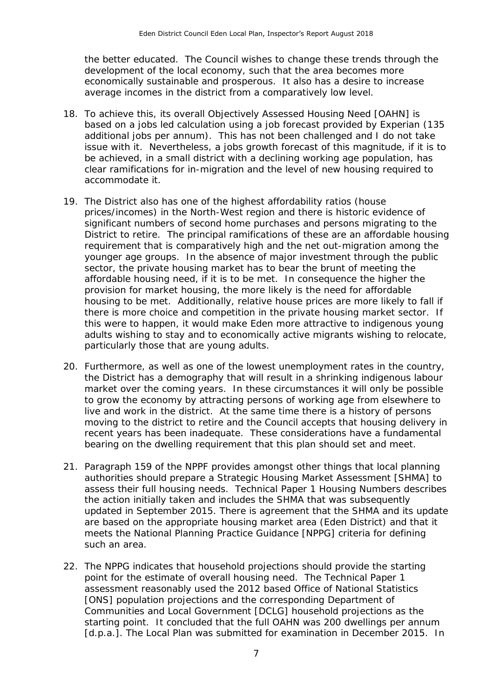the better educated. The Council wishes to change these trends through the development of the local economy, such that the area becomes more economically sustainable and prosperous. It also has a desire to increase average incomes in the district from a comparatively low level.

- 18. To achieve this, its overall Objectively Assessed Housing Need [OAHN] is based on a jobs led calculation using a job forecast provided by Experian (135 issue with it. Nevertheless, a jobs growth forecast of this magnitude, if it is to be achieved, in a small district with a declining working age population, has clear ramifications for in-migration and the level of new housing required to additional jobs per annum). This has not been challenged and I do not take accommodate it.
- prices/incomes) in the North-West region and there is historic evidence of significant numbers of second home purchases and persons migrating to the requirement that is comparatively high and the net out-migration among the younger age groups. In the absence of major investment through the public affordable housing need, if it is to be met. In consequence the higher the housing to be met. Additionally, relative house prices are more likely to fall if there is more choice and competition in the private housing market sector. If adults wishing to stay and to economically active migrants wishing to relocate, particularly those that are young adults. 19. The District also has one of the highest affordability ratios (house District to retire. The principal ramifications of these are an affordable housing sector, the private housing market has to bear the brunt of meeting the provision for market housing, the more likely is the need for affordable this were to happen, it would make Eden more attractive to indigenous young
- 20. Furthermore, as well as one of the lowest unemployment rates in the country, the District has a demography that will result in a shrinking indigenous labour market over the coming years. In these circumstances it will only be possible to grow the economy by attracting persons of working age from elsewhere to live and work in the district. At the same time there is a history of persons moving to the district to retire and the Council accepts that housing delivery in recent years has been inadequate. These considerations have a fundamental bearing on the dwelling requirement that this plan should set and meet.
- 21. Paragraph 159 of the NPPF provides amongst other things that local planning authorities should prepare a Strategic Housing Market Assessment [SHMA] to assess their full housing needs. Technical Paper 1 Housing Numbers describes updated in September 2015. There is agreement that the SHMA and its update meets the National Planning Practice Guidance [NPPG] criteria for defining such an area. the action initially taken and includes the SHMA that was subsequently are based on the appropriate housing market area (Eden District) and that it
- point for the estimate of overall housing need. The Technical Paper 1 assessment reasonably used the 2012 based Office of National Statistics Communities and Local Government [DCLG] household projections as the starting point. It concluded that the full OAHN was 200 dwellings per annum [d.p.a.]. The Local Plan was submitted for examination in December 2015. In 22. The NPPG indicates that household projections should provide the starting [ONS] population projections and the corresponding Department of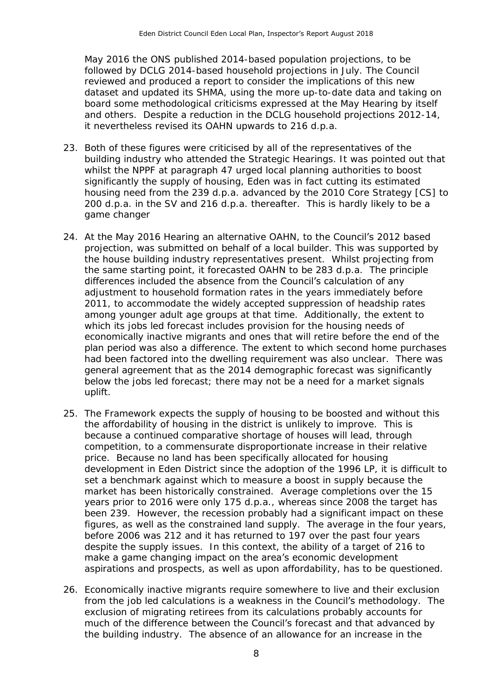May 2016 the ONS published 2014-based population projections, to be followed by DCLG 2014-based household projections in July. The Council reviewed and produced a report to consider the implications of this new dataset and updated its SHMA, using the more up-to-date data and taking on board some methodological criticisms expressed at the May Hearing by itself and others. Despite a reduction in the DCLG household projections 2012-14, it nevertheless revised its OAHN upwards to 216 d.p.a.

- 23. Both of these figures were criticised by all of the representatives of the building industry who attended the Strategic Hearings. It was pointed out that housing need from the 239 d.p.a. advanced by the 2010 Core Strategy [CS] to 200 d.p.a. in the SV and 216 d.p.a. thereafter. This is hardly likely to be a whilst the NPPF at paragraph 47 urged local planning authorities to boost significantly the supply of housing, Eden was in fact cutting its estimated game changer
- 24. At the May 2016 Hearing an alternative OAHN, to the **Council's** 2012 based projection, was submitted on behalf of a local builder. This was supported by the house building industry representatives present. Whilst projecting from the same starting point, it forecasted OAHN to be 283 d.p.a. The principle differences included the absence from the Council's calculation of any adjustment to household formation rates in the years immediately before 2011, to accommodate the widely accepted suppression of headship rates among younger adult age groups at that time. Additionally, the extent to plan period was also a difference. The extent to which second home purchases had been factored into the dwelling requirement was also unclear. There was below the jobs led forecast; there may not be a need for a market signals which its jobs led forecast includes provision for the housing needs of economically inactive migrants and ones that will retire before the end of the general agreement that as the 2014 demographic forecast was significantly uplift.
- 25. The Framework expects the supply of housing to be boosted and without this the affordability of housing in the district is unlikely to improve. This is because a continued comparative shortage of houses will lead, through competition, to a commensurate disproportionate increase in their relative price. Because no land has been specifically allocated for housing development in Eden District since the adoption of the 1996 LP, it is difficult to set a benchmark against which to measure a boost in supply because the market has been historically constrained. Average completions over the 15 years prior to 2016 were only 175 d.p.a., whereas since 2008 the target has been 239. However, the recession probably had a significant impact on these figures, as well as the constrained land supply. The average in the four years, before 2006 was 212 and it has returned to 197 over the past four years despite the supply issues. In this context, the ability of a target of 216 to aspirations and prospects, as well as upon affordability, has to be questioned. make a game changing impact on the area's economic development
- 26. Economically inactive migrants require somewhere to live and their exclusion from the job led calculations is a weakness in the Council's methodology. The much of the difference between the Council's forecast and that advanced by the building industry. The absence of an allowance for an increase in the exclusion of migrating retirees from its calculations probably accounts for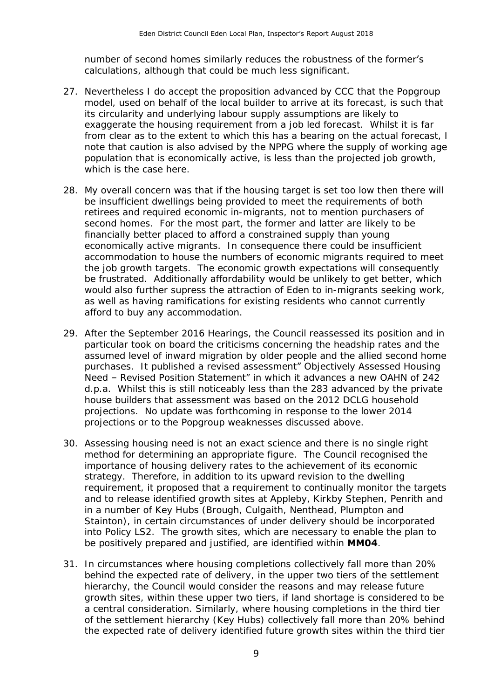number of second homes similarly reduces the robustness of the former's calculations, although that could be much less significant.

- 27. Nevertheless I do accept the proposition advanced by CCC that the Popgroup model, used on behalf of the local builder to arrive at its forecast, is such that its circularity and underlying labour supply assumptions are likely to exaggerate the housing requirement from a job led forecast. Whilst it is far from clear as to the extent to which this has a bearing on the actual forecast, I note that caution is also advised by the NPPG where the supply of working age population that is economically active, is less than the projected job growth, which is the case here.
- 28. My overall concern was that if the housing target is set too low then there will retirees and required economic in-migrants, not to mention purchasers of second homes. For the most part, the former and latter are likely to be economically active migrants. In consequence there could be insufficient the job growth targets. The economic growth expectations will consequently be frustrated. Additionally affordability would be unlikely to get better, which would also further supress the attraction of Eden to in-migrants seeking work, as well as having ramifications for existing residents who cannot currently afford to buy any accommodation. be insufficient dwellings being provided to meet the requirements of both financially better placed to afford a constrained supply than young accommodation to house the numbers of economic migrants required to meet
- 29. After the September 2016 Hearings, the Council reassessed its position and in particular took on board the criticisms concerning the headship rates and the assumed level of inward migration by older people and the allied second home purchases. It published a revised assessment" Objectively Assessed Housing Need - Revised Position Statement" in which it advances a new OAHN of 242 d.p.a. Whilst this is still noticeably less than the 283 advanced by the private house builders that assessment was based on the 2012 DCLG household projections. No update was forthcoming in response to the lower 2014 projections or to the Popgroup weaknesses discussed above.
- projections or to the Popgroup weaknesses discussed above. 30. Assessing housing need is not an exact science and there is no single right method for determining an appropriate figure. The Council recognised the importance of housing delivery rates to the achievement of its economic strategy. Therefore, in addition to its upward revision to the dwelling requirement, it proposed that a requirement to continually monitor the targets and to release identified growth sites at Appleby, Kirkby Stephen, Penrith and in a number of Key Hubs (Brough, Culgaith, Nenthead, Plumpton and Stainton), in certain circumstances of under delivery should be incorporated into Policy LS2. The growth sites, which are necessary to enable the plan to be positively prepared and justified, are identified within MM04.
- be positively prepared and justified, are identified within **MM04**. 31. In circumstances where housing completions collectively fall more than 20% hierarchy, the Council would consider the reasons and may release future growth sites, within these upper two tiers, if land shortage is considered to be a central consideration. Similarly, where housing completions in the third tier of the settlement hierarchy (Key Hubs) collectively fall more than 20% behind the expected rate of delivery identified future growth sites within the third tier behind the expected rate of delivery, in the upper two tiers of the settlement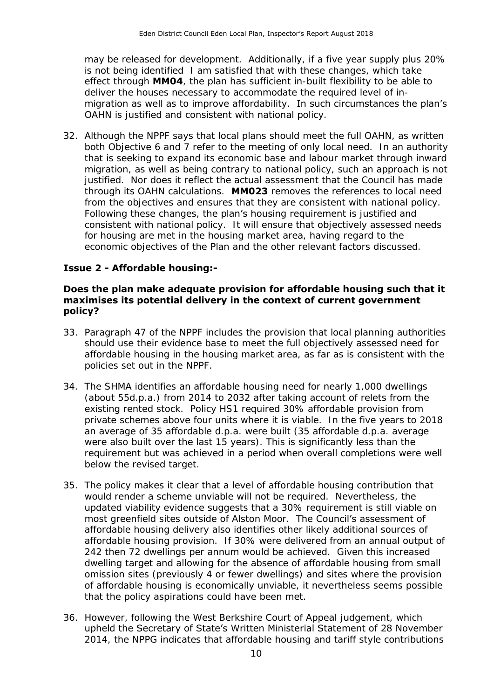may be released for development. Additionally, if a five year supply plus 20% is not being identified I am satisfied that with these changes, which take effect through **MM04**, the plan has sufficient in-built flexibility to be able to migration as well as to improve affordability. In such circumstances the plan's OAHN is justified and consistent with national policy. deliver the houses necessary to accommodate the required level of in-

32. Although the NPPF says that local plans should meet the full OAHN, as written both Objective 6 and 7 refer to the meeting of only local need. In an authority that is seeking to expand its economic base and labour market through inward migration, as well as being contrary to national policy, such an approach is not justified. Nor does it reflect the actual assessment that the Council has made through its OAHN calculations. **MM023** removes the references to local need from the objectives and ensures that they are consistent with national policy. Following these changes, the plan's housing requirement is justified and consistent with national policy. It will ensure that objectively assessed needs for housing are met in the housing market area, having regard to the economic objectives of the Plan and the other relevant factors discussed.

#### **Issue 2 - Affordable housing:-**

#### **Does the plan make adequate provision for affordable housing such that it maximises its potential delivery in the context of current government policy?**

- 33. Paragraph 47 of the NPPF includes the provision that local planning authorities should use their evidence base to meet the full objectively assessed need for affordable housing in the housing market area, as far as is consistent with the policies set out in the NPPF.
- 34. The SHMA identifies an affordable housing need for nearly 1,000 dwellings (about 55d.p.a.) from 2014 to 2032 after taking account of relets from the existing rented stock. Policy HS1 required 30% affordable provision from private schemes above four units where it is viable. In the five years to 2018 an average of 35 affordable d.p.a. were built (35 affordable d.p.a. average were also built over the last 15 years). This is significantly less than the requirement but was achieved in a period when overall completions were well below the revised target.
- below the revised target.<br>35. The policy makes it clear that a level of affordable housing contribution that would render a scheme unviable will not be required. Nevertheless, the updated viability evidence suggests that a 30% requirement is still viable on most greenfield sites outside of Alston Moor. The Council's assessment of affordable housing delivery also identifies other likely additional sources of affordable housing provision. If 30% were delivered from an annual output of 242 then 72 dwellings per annum would be achieved. Given this increased dwelling target and allowing for the absence of affordable housing from small omission sites (previously 4 or fewer dwellings) and sites where the provision of affordable housing is economically unviable, it nevertheless seems possible that the policy aspirations could have been met.
- that the policy aspirations could have been met.<br>36. However, following the West Berkshire Court of Appeal judgement, which upheld the Secretary of State's Written Ministerial Statement of 28 November 2014, the NPPG indicates that affordable housing and tariff style contributions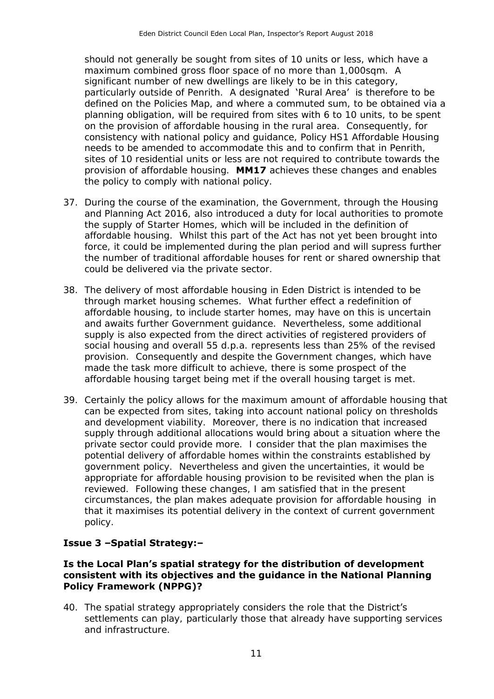should not generally be sought from sites of 10 units or less, which have a maximum combined gross floor space of no more than 1,000sqm. A particularly outside of Penrith. A designated 'Rural Area' is therefore to be defined on the Policies Map, and where a commuted sum, to be obtained via a planning obligation, will be required from sites with 6 to 10 units, to be spent on the provision of affordable housing in the rural area. Consequently, for consistency with national policy and guidance, Policy HS1 Affordable Housing needs to be amended to accommodate this and to confirm that in Penrith, provision of affordable housing. **MM17** achieves these changes and enables the policy to comply with national policy. significant number of new dwellings are likely to be in this category, sites of 10 residential units or less are not required to contribute towards the

- and Planning Act 2016, also introduced a duty for local authorities to promote the supply of Starter Homes, which will be included in the definition of affordable housing. Whilst this part of the Act has not yet been brought into force, it could be implemented during the plan period and will supress further the number of traditional affordable houses for rent or shared ownership that 37. During the course of the examination, the Government, through the Housing could be delivered via the private sector.
- through market housing schemes. What further effect a redefinition of affordable housing, to include starter homes, may have on this is uncertain and awaits further Government guidance. Nevertheless, some additional social housing and overall 55 d.p.a. represents less than 25% of the revised provision. Consequently and despite the Government changes, which have affordable housing target being met if the overall housing target is met. 38. The delivery of most affordable housing in Eden District is intended to be supply is also expected from the direct activities of registered providers of made the task more difficult to achieve, there is some prospect of the
- 39. Certainly the policy allows for the maximum amount of affordable housing that can be expected from sites, taking into account national policy on thresholds and development viability. Moreover, there is no indication that increased supply through additional allocations would bring about a situation where the private sector could provide more. I consider that the plan maximises the potential delivery of affordable homes within the constraints established by government policy. Nevertheless and given the uncertainties, it would be appropriate for affordable housing provision to be revisited when the plan is reviewed. Following these changes, I am satisfied that in the present circumstances, the plan makes adequate provision for affordable housing in that it maximises its potential delivery in the context of current government policy.

#### **Issue 3 –Spatial Strategy:–**

#### **Is the Local Plan's spatial strategy for the distribution of development consistent with its objectives and the guidance in the National Planning Policy Framework (NPPG)?**

40. The spatial strategy appropriately considers the role that the District's settlements can play, particularly those that already have supporting services and infrastructure.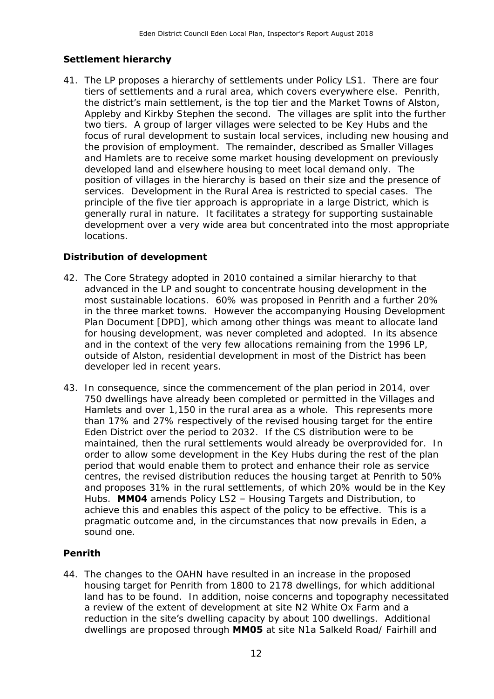#### **Settlement hierarchy**

41. The LP proposes a hierarchy of settlements under Policy LS1. There are four tiers of settlements and a rural area, which covers everywhere else. Penrith, the district's main settlement, is the top tier and the Market Towns of Alston, Appleby and Kirkby Stephen the second. The villages are split into the further two tiers. A group of larger villages were selected to be Key Hubs and the focus of rural development to sustain local services, including new housing and and Hamlets are to receive some market housing development on previously developed land and elsewhere housing to meet local demand only. The position of villages in the hierarchy is based on their size and the presence of services. Development in the Rural Area is restricted to special cases. The principle of the five tier approach is appropriate in a large District, which is generally rural in nature. It facilitates a strategy for supporting sustainable development over a very wide area but concentrated into the most appropriate the provision of employment. The remainder, described as Smaller Villages locations.

#### **Distribution of development**

- 42. The Core Strategy adopted in 2010 contained a similar hierarchy to that advanced in the LP and sought to concentrate housing development in the most sustainable locations. 60% was proposed in Penrith and a further 20% in the three market towns. However the accompanying Housing Development Plan Document [DPD], which among other things was meant to allocate land for housing development, was never completed and adopted. In its absence and in the context of the very few allocations remaining from the 1996 LP, outside of Alston, residential development in most of the District has been developer led in recent years.
- Hamlets and over 1,150 in the rural area as a whole. This represents more than 17% and 27% respectively of the revised housing target for the entire Eden District over the period to 2032. If the CS distribution were to be maintained, then the rural settlements would already be overprovided for. In period that would enable them to protect and enhance their role as service centres, the revised distribution reduces the housing target at Penrith to 50% and proposes 31% in the rural settlements, of which 20% would be in the Key Hubs. **MM04** amends Policy LS2 – Housing Targets and Distribution, to achieve this and enables this aspect of the policy to be effective. This is a pragmatic outcome and, in the circumstances that now prevails in Eden, a sound one. 43. In consequence, since the commencement of the plan period in 2014, over 750 dwellings have already been completed or permitted in the Villages and order to allow some development in the Key Hubs during the rest of the plan

#### **Penrith**

44. The changes to the OAHN have resulted in an increase in the proposed housing target for Penrith from 1800 to 2178 dwellings, for which additional land has to be found. In addition, noise concerns and topography necessitated a review of the extent of development at site N2 White Ox Farm and a reduction in the site's dwelling capacity by about 100 dwellings. Additional dwellings are proposed through **MM05** at site N1a Salkeld Road/ Fairhill and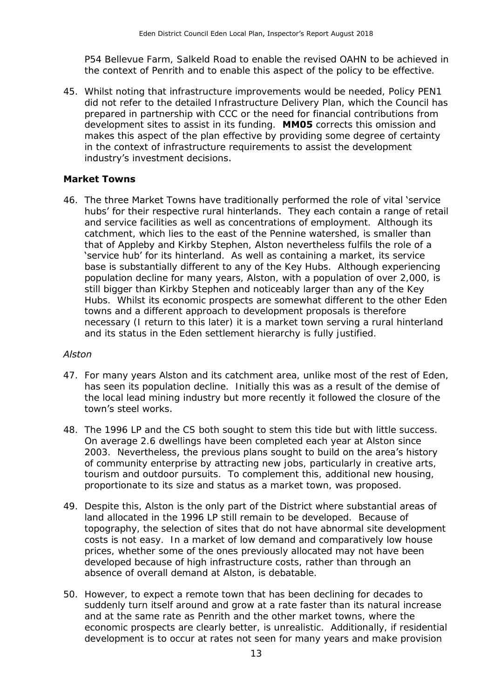P54 Bellevue Farm, Salkeld Road to enable the revised OAHN to be achieved in the context of Penrith and to enable this aspect of the policy to be effective.

45. Whilst noting that infrastructure improvements would be needed, Policy PEN1 did not refer to the detailed Infrastructure Delivery Plan, which the Council has prepared in partnership with CCC or the need for financial contributions from development sites to assist in its funding. **MM05** corrects this omission and makes this aspect of the plan effective by providing some degree of certainty in the context of infrastructure requirements to assist the development industry's investment decisions.

#### **Market Towns**

46. The three Market Towns have traditionally performed the role of vital 'service hubs' for their respective rural hinterlands. They each contain a range of retail and service facilities as well as concentrations of employment. Although its catchment, which lies to the east of the Pennine watershed, is smaller than that of Appleby and Kirkby Stephen, Alston nevertheless fulfils the role of a 'service hub' for its hinterland. As well as containing a market, its service base is substantially different to any of the Key Hubs. Although experiencing population decline for many years, Alston, with a population of over 2,000, is still bigger than Kirkby Stephen and noticeably larger than any of the Key Hubs. Whilst its economic prospects are somewhat different to the other Eden towns and a different approach to development proposals is therefore necessary (I return to this later) it is a market town serving a rural hinterland and its status in the Eden settlement hierarchy is fully justified.

#### *Alston*

- 47. For many years Alston and its catchment area, unlike most of the rest of Eden, has seen its population decline. Initially this was as a result of the demise of the local lead mining industry but more recently it followed the closure of the town's steel works.
- 48. The 1996 LP and the CS both sought to stem this tide but with little success. On average 2.6 dwellings have been completed each year at Alston since 2003. Nevertheless, the previous plans sought to build on the area's history of community enterprise by attracting new jobs, particularly in creative arts, tourism and outdoor pursuits. To complement this, additional new housing, proportionate to its size and status as a market town, was proposed.
- land allocated in the 1996 LP still remain to be developed. Because of costs is not easy. In a market of low demand and comparatively low house prices, whether some of the ones previously allocated may not have been developed because of high infrastructure costs, rather than through an absence of overall demand at Alston, is debatable. 49. Despite this, Alston is the only part of the District where substantial areas of topography, the selection of sites that do not have abnormal site development
- suddenly turn itself around and grow at a rate faster than its natural increase and at the same rate as Penrith and the other market towns, where the economic prospects are clearly better, is unrealistic. Additionally, if residential development is to occur at rates not seen for many years and make provision 50. However, to expect a remote town that has been declining for decades to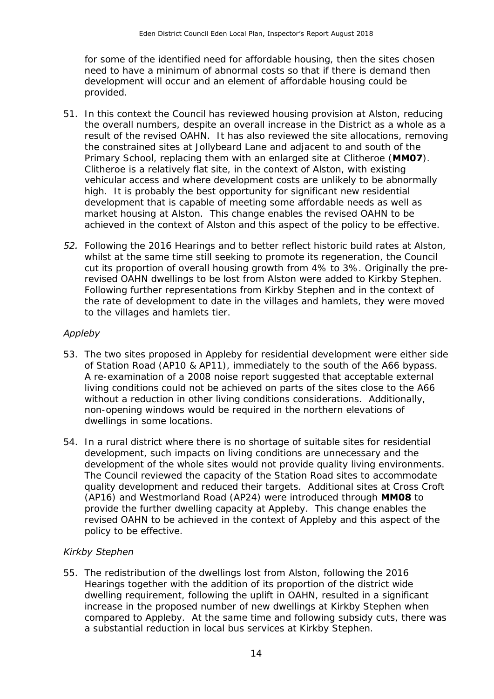need to have a minimum of abnormal costs so that if there is demand then development will occur and an element of affordable housing could be provided. for some of the identified need for affordable housing, then the sites chosen

- provided.<br>51. In this context the Council has reviewed housing provision at Alston, reducing the overall numbers, despite an overall increase in the District as a whole as a result of the revised OAHN. It has also reviewed the site allocations, removing the constrained sites at Jollybeard Lane and adjacent to and south of the Primary School, replacing them with an enlarged site at Clitheroe (**MM07**). Clitheroe is a relatively flat site, in the context of Alston, with existing vehicular access and where development costs are unlikely to be abnormally high. It is probably the best opportunity for significant new residential development that is capable of meeting some affordable needs as well as market housing at Alston. This change enables the revised OAHN to be achieved in the context of Alston and this aspect of the policy to be effective.
- **52.** Following the 2016 Hearings and to better reflect historic build rates at Alston, cut its proportion of overall housing growth from 4% to 3%. Originally the pre- revised OAHN dwellings to be lost from Alston were added to Kirkby Stephen. Following further representations from Kirkby Stephen and in the context of the rate of development to date in the villages and hamlets, they were moved to the villages and hamlets tier. whilst at the same time still seeking to promote its regeneration, the Council

#### *Appleby*

- of Station Road (AP10 & AP11), immediately to the south of the A66 bypass. A re-examination of a 2008 noise report suggested that acceptable external living conditions could not be achieved on parts of the sites close to the A66 without a reduction in other living conditions considerations. Additionally, non-opening windows would be required in the northern elevations of dwellings in some locations. 53. The two sites proposed in Appleby for residential development were either side
- dwellings in some locations. 54. In a rural district where there is no shortage of suitable sites for residential development, such impacts on living conditions are unnecessary and the development of the whole sites would not provide quality living environments. The Council reviewed the capacity of the Station Road sites to accommodate quality development and reduced their targets. Additional sites at Cross Croft (AP16) and Westmorland Road (AP24) were introduced through **MM08** to provide the further dwelling capacity at Appleby. This change enables the revised OAHN to be achieved in the context of Appleby and this aspect of the policy to be effective.

#### *Kirkby Stephen*

55. The redistribution of the dwellings lost from Alston, following the 2016 dwelling requirement, following the uplift in OAHN, resulted in a significant increase in the proposed number of new dwellings at Kirkby Stephen when compared to Appleby. At the same time and following subsidy cuts, there was a substantial reduction in local bus services at Kirkby Stephen. Hearings together with the addition of its proportion of the district wide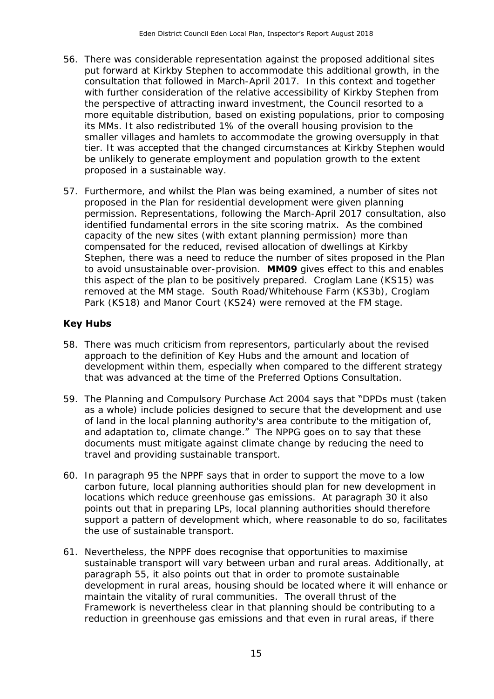- put forward at Kirkby Stephen to accommodate this additional growth, in the consultation that followed in March-April 2017. In this context and together with further consideration of the relative accessibility of Kirkby Stephen from the perspective of attracting inward investment, the Council resorted to a its MMs. It also redistributed 1% of the overall housing provision to the tier. It was accepted that the changed circumstances at Kirkby Stephen would be unlikely to generate employment and population growth to the extent 56. There was considerable representation against the proposed additional sites more equitable distribution, based on existing populations, prior to composing smaller villages and hamlets to accommodate the growing oversupply in that proposed in a sustainable way.
- 57. Furthermore, and whilst the Plan was being examined, a number of sites not permission. Representations, following the March-April 2017 consultation, also identified fundamental errors in the site scoring matrix. As the combined capacity of the new sites (with extant planning permission) more than compensated for the reduced, revised allocation of dwellings at Kirkby to avoid unsustainable over-provision. **MM09** gives effect to this and enables this aspect of the plan to be positively prepared. Croglam Lane (KS15) was removed at the MM stage. South Road/Whitehouse Farm (KS3b), Croglam Park (KS18) and Manor Court (KS24) were removed at the FM stage. proposed in the Plan for residential development were given planning Stephen, there was a need to reduce the number of sites proposed in the Plan

#### **Key Hubs**

- 58. There was much criticism from representors, particularly about the revised approach to the definition of Key Hubs and the amount and location of development within them, especially when compared to the different strategy that was advanced at the time of the Preferred Options Consultation.
- that was advanced at the time of the Preferred Options Consultation.<br>59. The Planning and Compulsory Purchase Act 2004 says that "DPDs must (taken as a whole) include policies designed to secure that the development and use of land in the local planning authority's area contribute to the mitigation of, documents must mitigate against climate change by reducing the need to travel and providing sustainable transport. and adaptation to, climate change." The NPPG goes on to say that these
- 60. In paragraph 95 the NPPF says that in order to support the move to a low carbon future, local planning authorities should plan for new development in locations which reduce greenhouse gas emissions. At paragraph 30 it also points out that in preparing LPs, local planning authorities should therefore support a pattern of development which, where reasonable to do so, facilitates the use of sustainable transport.
- sustainable transport will vary between urban and rural areas. Additionally, at paragraph 55, it also points out that in order to promote sustainable development in rural areas, housing should be located where it will enhance or maintain the vitality of rural communities. The overall thrust of the Framework is nevertheless clear in that planning should be contributing to a reduction in greenhouse gas emissions and that even in rural areas, if there 61. Nevertheless, the NPPF does recognise that opportunities to maximise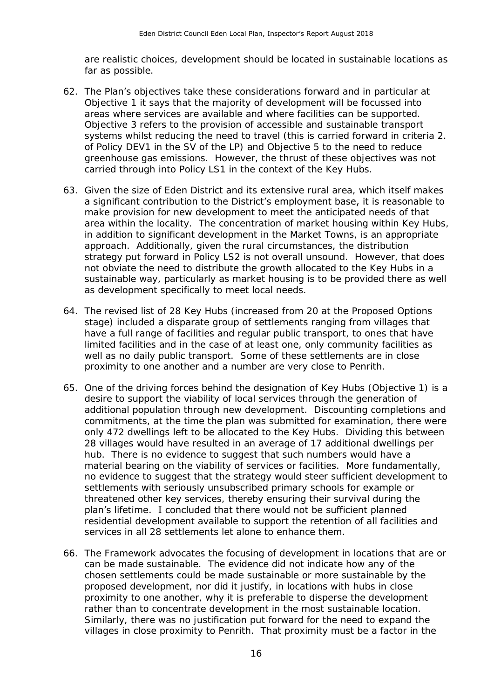are realistic choices, development should be located in sustainable locations as far as possible.

- 62. The Plan's objectives take these considerations forward and in particular at Objective 1 it says that the majority of development will be focussed into areas where services are available and where facilities can be supported. systems whilst reducing the need to travel (this is carried forward in criteria 2. of Policy DEV1 in the SV of the LP) and Objective 5 to the need to reduce greenhouse gas emissions. However, the thrust of these objectives was not carried through into Policy LS1 in the context of the Key Hubs. Objective 3 refers to the provision of accessible and sustainable transport
- a significant contribution to the District's employment base, it is reasonable to make provision for new development to meet the anticipated needs of that area within the locality. The concentration of market housing within Key Hubs, approach. Additionally, given the rural circumstances, the distribution strategy put forward in Policy LS2 is not overall unsound. However, that does not obviate the need to distribute the growth allocated to the Key Hubs in a as development specifically to meet local needs. 63. Given the size of Eden District and its extensive rural area, which itself makes in addition to significant development in the Market Towns, is an appropriate sustainable way, particularly as market housing is to be provided there as well
- 64. The revised list of 28 Key Hubs (increased from 20 at the Proposed Options stage) included a disparate group of settlements ranging from villages that have a full range of facilities and regular public transport, to ones that have limited facilities and in the case of at least one, only community facilities as well as no daily public transport. Some of these settlements are in close proximity to one another and a number are very close to Penrith.
- 65. One of the driving forces behind the designation of Key Hubs (Objective 1) is a desire to support the viability of local services through the generation of additional population through new development. Discounting completions and commitments, at the time the plan was submitted for examination, there were only 472 dwellings left to be allocated to the Key Hubs. Dividing this between 28 villages would have resulted in an average of 17 additional dwellings per hub. There is no evidence to suggest that such numbers would have a material bearing on the viability of services or facilities. More fundamentally, no evidence to suggest that the strategy would steer sufficient development to settlements with seriously unsubscribed primary schools for example or threatened other key services, thereby ensuring their survival during the plan's lifetime. I concluded that there would not be sufficient planned services in all 28 settlements let alone to enhance them. residential development available to support the retention of all facilities and
- can be made sustainable. The evidence did not indicate how any of the proposed development, nor did it justify, in locations with hubs in close proximity to one another, why it is preferable to disperse the development rather than to concentrate development in the most sustainable location. rather than to concentrate development in the most sustainable location.<br>Similarly, there was no justification put forward for the need to expand the villages in close proximity to Penrith. That proximity must be a factor in the 66. The Framework advocates the focusing of development in locations that are or chosen settlements could be made sustainable or more sustainable by the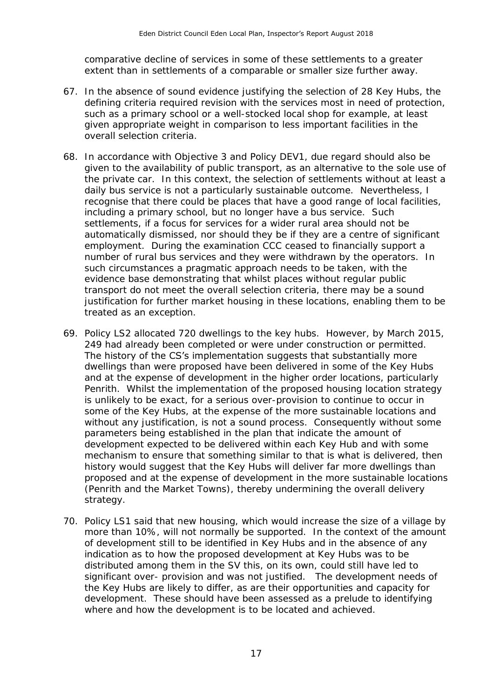comparative decline of services in some of these settlements to a greater extent than in settlements of a comparable or smaller size further away.

- 67. In the absence of sound evidence justifying the selection of 28 Key Hubs, the defining criteria required revision with the services most in need of protection, such as a primary school or a well-stocked local shop for example, at least overall selection criteria. given appropriate weight in comparison to less important facilities in the
- overall selection criteria. 68. In accordance with Objective 3 and Policy DEV1, due regard should also be the private car. In this context, the selection of settlements without at least a daily bus service is not a particularly sustainable outcome. Nevertheless, I recognise that there could be places that have a good range of local facilities, including a primary school, but no longer have a bus service. Such settlements, if a focus for services for a wider rural area should not be automatically dismissed, nor should they be if they are a centre of significant employment. During the examination CCC ceased to financially support a number of rural bus services and they were withdrawn by the operators. In such circumstances a pragmatic approach needs to be taken, with the evidence base demonstrating that whilst places without regular public transport do not meet the overall selection criteria, there may be a sound justification for further market housing in these locations, enabling them to be treated as an exception. given to the availability of public transport, as an alternative to the sole use of
- treated as an exception.<br>69. Policy LS2 allocated 720 dwellings to the key hubs. However, by March 2015, 249 had already been completed or were under construction or permitted. dwellings than were proposed have been delivered in some of the Key Hubs Penrith. Whilst the implementation of the proposed housing location strategy is unlikely to be exact, for a serious over-provision to continue to occur in without any justification, is not a sound process. Consequently without some parameters being established in the plan that indicate the amount of development expected to be delivered within each Key Hub and with some mechanism to ensure that something similar to that is what is delivered, then history would suggest that the Key Hubs will deliver far more dwellings than (Penrith and the Market Towns), thereby undermining the overall delivery strategy. The history of the CS's implementation suggests that substantially more and at the expense of development in the higher order locations, particularly some of the Key Hubs, at the expense of the more sustainable locations and proposed and at the expense of development in the more sustainable locations
- strategy. 70. Policy LS1 said that new housing, which would increase the size of a village by more than 10%, will not normally be supported. In the context of the amount of development still to be identified in Key Hubs and in the absence of any indication as to how the proposed development at Key Hubs was to be distributed among them in the SV this, on its own, could still have led to significant over- provision and was not justified. The development needs of the Key Hubs are likely to differ, as are their opportunities and capacity for development. These should have been assessed as a prelude to identifying where and how the development is to be located and achieved.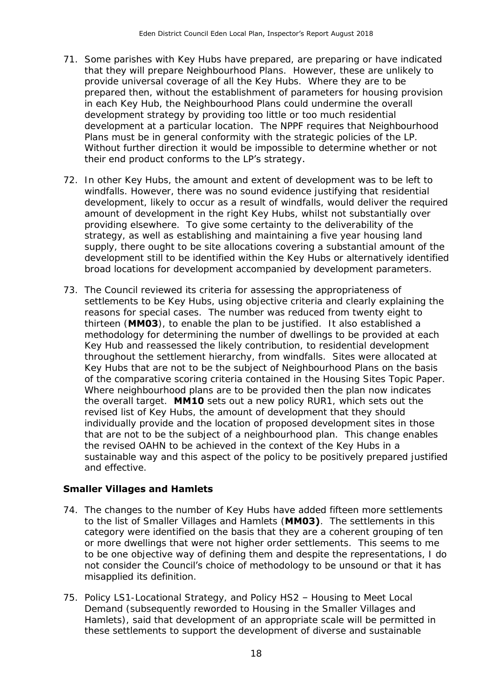- 71. Some parishes with Key Hubs have prepared, are preparing or have indicated that they will prepare Neighbourhood Plans. However, these are unlikely to provide universal coverage of all the Key Hubs. Where they are to be prepared then, without the establishment of parameters for housing provision in each Key Hub, the Neighbourhood Plans could undermine the overall development strategy by providing too little or too much residential development at a particular location. The NPPF requires that Neighbourhood Plans must be in general conformity with the strategic policies of the LP. Without further direction it would be impossible to determine whether or not their end product conforms to the LP's strategy.
- 72. In other Key Hubs, the amount and extent of development was to be left to windfalls. However, there was no sound evidence justifying that residential development, likely to occur as a result of windfalls, would deliver the required amount of development in the right Key Hubs, whilst not substantially over providing elsewhere. To give some certainty to the deliverability of the strategy, as well as establishing and maintaining a five year housing land supply, there ought to be site allocations covering a substantial amount of the development still to be identified within the Key Hubs or alternatively identified broad locations for development accompanied by development parameters.
- settlements to be Key Hubs, using objective criteria and clearly explaining the reasons for special cases. The number was reduced from twenty eight to thirteen (**MM03**), to enable the plan to be justified. It also established a Key Hub and reassessed the likely contribution, to residential development throughout the settlement hierarchy, from windfalls. Sites were allocated at of the comparative scoring criteria contained in the Housing Sites Topic Paper. Where neighbourhood plans are to be provided then the plan now indicates the overall target. **MM10** sets out a new policy RUR1, which sets out the revised list of Key Hubs, the amount of development that they should that are not to be the subject of a neighbourhood plan. This change enables the revised OAHN to be achieved in the context of the Key Hubs in a sustainable way and this aspect of the policy to be positively prepared justified and effective. 73. The Council reviewed its criteria for assessing the appropriateness of methodology for determining the number of dwellings to be provided at each Key Hubs that are not to be the subject of Neighbourhood Plans on the basis individually provide and the location of proposed development sites in those

#### **Smaller Villages and Hamlets**

- to the list of Smaller Villages and Hamlets (**MM03)**. The settlements in this category were identified on the basis that they are a coherent grouping of ten to be one objective way of defining them and despite the representations, I do not consider the Council's choice of methodology to be unsound or that it has 74. The changes to the number of Key Hubs have added fifteen more settlements or more dwellings that were not higher order settlements. This seems to me misapplied its definition.
- 75. Policy LS1-Locational Strategy, and Policy HS2 Housing to Meet Local Hamlets), said that development of an appropriate scale will be permitted in Demand (subsequently reworded to Housing in the Smaller Villages and these settlements to support the development of diverse and sustainable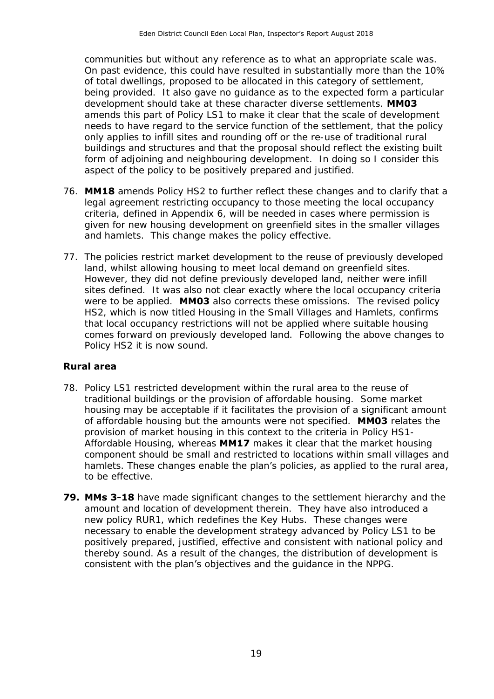communities but without any reference as to what an appropriate scale was. On past evidence, this could have resulted in substantially more than the 10% of total dwellings, proposed to be allocated in this category of settlement, being provided. It also gave no guidance as to the expected form a particular development should take at these character diverse settlements. **MM03**  amends this part of Policy LS1 to make it clear that the scale of development only applies to infill sites and rounding off or the re-use of traditional rural buildings and structures and that the proposal should reflect the existing built form of adjoining and neighbouring development. In doing so I consider this aspect of the policy to be positively prepared and justified. needs to have regard to the service function of the settlement, that the policy

- 76. MM18 amends Policy HS2 to further reflect these changes and to clarify that a legal agreement restricting occupancy to those meeting the local occupancy criteria, defined in Appendix 6, will be needed in cases where permission is given for new housing development on greenfield sites in the smaller villages and hamlets. This change makes the policy effective.
- 77. The policies restrict market development to the reuse of previously developed land, whilst allowing housing to meet local demand on greenfield sites. However, they did not define previously developed land, neither were infill sites defined. It was also not clear exactly where the local occupancy criteria were to be applied. **MM03** also corrects these omissions. The revised policy HS2, which is now titled Housing in the Small Villages and Hamlets, confirms that local occupancy restrictions will not be applied where suitable housing comes forward on previously developed land. Following the above changes to Policy HS2 it is now sound.

#### **Rural area**

- 78. Policy LS1 restricted development within the rural area to the reuse of traditional buildings or the provision of affordable housing. Some market housing may be acceptable if it facilitates the provision of a significant amount of affordable housing but the amounts were not specified. **MM03** relates the provision of market housing in this context to the criteria in Policy HS1- Affordable Housing, whereas **MM17** makes it clear that the market housing component should be small and restricted to locations within small villages and hamlets. These changes enable the plan's policies, as applied to the rural area, to be effective.
- **79. MMs 3-18** have made significant changes to the settlement hierarchy and the amount and location of development therein. They have also introduced a new policy RUR1, which redefines the Key Hubs. These changes were necessary to enable the development strategy advanced by Policy LS1 to be positively prepared, justified, effective and consistent with national policy and thereby sound. As a result of the changes, the distribution of development is consistent with the plan's objectives and the guidance in the NPPG.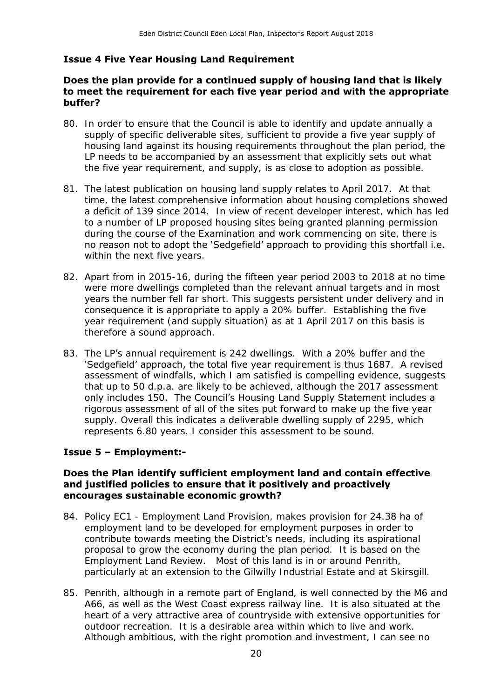#### **Issue 4 Five Year Housing Land Requirement**

#### **Does the plan provide for a continued supply of housing land that is likely to meet the requirement for each five year period and with the appropriate buffer?**

- 80. In order to ensure that the Council is able to identify and update annually a supply of specific deliverable sites, sufficient to provide a five year supply of housing land against its housing requirements throughout the plan period, the LP needs to be accompanied by an assessment that explicitly sets out what the five year requirement, and supply, is as close to adoption as possible.
- 81. The latest publication on housing land supply relates to April 2017. At that time, the latest comprehensive information about housing completions showed a deficit of 139 since 2014. In view of recent developer interest, which has led to a number of LP proposed housing sites being granted planning permission during the course of the Examination and work commencing on site, there is no reason not to adopt the 'Sedgefield' approach to providing this shortfall i.e. within the next five years.
- within the next five years.<br>82. Apart from in 2015-16, during the fifteen year period 2003 to 2018 at no time were more dwellings completed than the relevant annual targets and in most years the number fell far short. This suggests persistent under delivery and in consequence it is appropriate to apply a 20% buffer. Establishing the five year requirement (and supply situation) as at 1 April 2017 on this basis is therefore a sound approach.
- 83. The LP's annual requirement is 242 dwellings. With a 20% buffer and the **Sedgefield' approach, the total five year requirement is thus 1687. A revised State**  assessment of windfalls, which I am satisfied is compelling evidence, suggests that up to 50 d.p.a. are likely to be achieved, although the 2017 assessment only includes 150. The Council's Housing Land Supply Statement includes a rigorous assessment of all of the sites put forward to make up the five year supply. Overall this indicates a deliverable dwelling supply of 2295, which represents 6.80 years. I consider this assessment to be sound.

#### **Issue 5 – Employment:-**

#### **Does the Plan identify sufficient employment land and contain effective and justified policies to ensure that it positively and proactively encourages sustainable economic growth?**

- 84. Policy EC1 Employment Land Provision, makes provision for 24.38 ha of employment land to be developed for employment purposes in order to contribute towards meeting the District's needs, including its aspirational proposal to grow the economy during the plan period. It is based on the Employment Land Review. Most of this land is in or around Penrith, particularly at an extension to the Gilwilly Industrial Estate and at Skirsgill.
- particularly at an extension to the Gilwilly Industrial Estate and at Skirsgill.<br>85. Penrith, although in a remote part of England, is well connected by the M6 and A66, as well as the West Coast express railway line. It is also situated at the heart of a very attractive area of countryside with extensive opportunities for outdoor recreation. It is a desirable area within which to live and work. Although ambitious, with the right promotion and investment, I can see no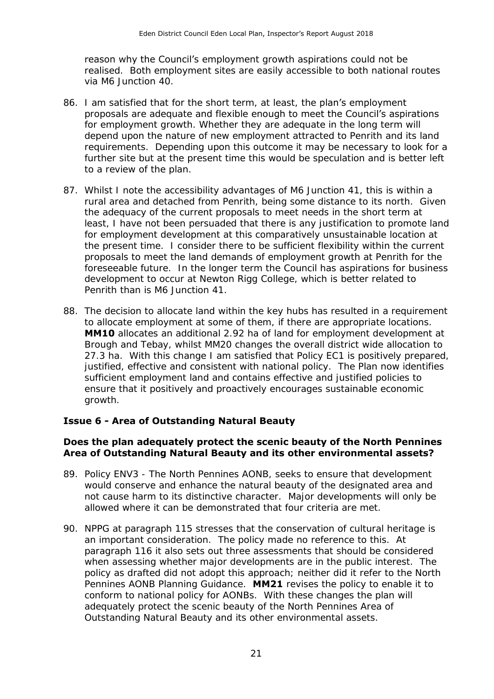reason why the Council's employment growth aspirations could not be realised. Both employment sites are easily accessible to both national routes via M6 Junction 40.

- 86. I am satisfied that for the short term, at least, the plan's employment for employment growth. Whether they are adequate in the long term will depend upon the nature of new employment attracted to Penrith and its land requirements. Depending upon this outcome it may be necessary to look for a further site but at the present time this would be speculation and is better left to a review of the plan. proposals are adequate and flexible enough to meet the Council's aspirations
- to a review of the plan.<br>87. Whilst I note the accessibility advantages of M6 Junction 41, this is within a rural area and detached from Penrith, being some distance to its north. Given the adequacy of the current proposals to meet needs in the short term at the present time. I consider there to be sufficient flexibility within the current foreseeable future. In the longer term the Council has aspirations for business development to occur at Newton Rigg College, which is better related to Penrith than is M6 Junction 41. least, I have not been persuaded that there is any justification to promote land for employment development at this comparatively unsustainable location at proposals to meet the land demands of employment growth at Penrith for the
- Penrith than is M6 Junction 41. 88. The decision to allocate land within the key hubs has resulted in a requirement to allocate employment at some of them, if there are appropriate locations. **MM10** allocates an additional 2.92 ha of land for employment development at Brough and Tebay, whilst MM20 changes the overall district wide allocation to 27.3 ha. With this change I am satisfied that Policy EC1 is positively prepared, justified, effective and consistent with national policy. The Plan now identifies sufficient employment land and contains effective and justified policies to ensure that it positively and proactively encourages sustainable economic growth.

#### **Issue 6 - Area of Outstanding Natural Beauty**

#### **Does the plan adequately protect the scenic beauty of the North Pennines Area of Outstanding Natural Beauty and its other environmental assets?**

- 89. Policy ENV3 The North Pennines AONB, seeks to ensure that development would conserve and enhance the natural beauty of the designated area and not cause harm to its distinctive character. Major developments will only be allowed where it can be demonstrated that four criteria are met.
- an important consideration. The policy made no reference to this. At when assessing whether major developments are in the public interest. The policy as drafted did not adopt this approach; neither did it refer to the North Pennines AONB Planning Guidance. **MM21** revises the policy to enable it to conform to national policy for AONBs. With these changes the plan will Outstanding Natural Beauty and its other environmental assets. 90. NPPG at paragraph 115 stresses that the conservation of cultural heritage is paragraph 116 it also sets out three assessments that should be considered adequately protect the scenic beauty of the North Pennines Area of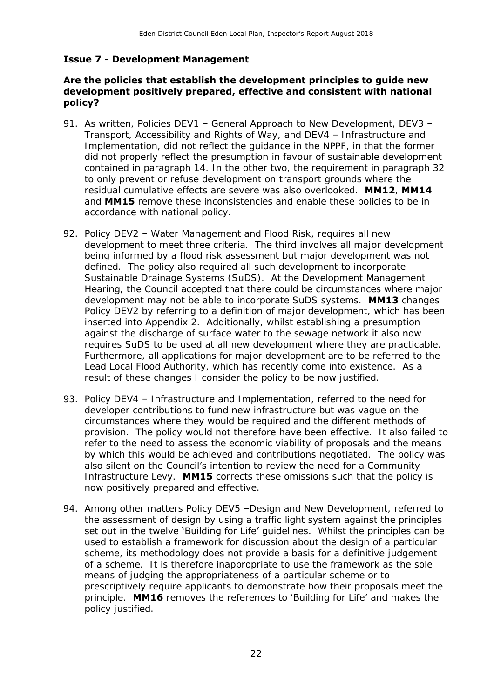#### **Issue 7 - Development Management**

#### **development positively prepared, effective and consistent with national Are the policies that establish the development principles to guide new policy?**

- 91. As written, Policies DEV1 General Approach to New Development, DEV3 - Transport, Accessibility and Rights of Way, and DEV4 – Infrastructure and Implementation, did not reflect the guidance in the NPPF, in that the former did not properly reflect the presumption in favour of sustainable development contained in paragraph 14. In the other two, the requirement in paragraph 32 to only prevent or refuse development on transport grounds where the accordance with national policy. residual cumulative effects are severe was also overlooked. **MM12**, **MM14**  and **MM15** remove these inconsistencies and enable these policies to be in
- 92. Policy DEV2 Water Management and Flood Risk, requires all new development to meet three criteria. The third involves all major development being informed by a flood risk assessment but major development was not defined. The policy also required all such development to incorporate Sustainable Drainage Systems (SuDS). At the Development Management Hearing, the Council accepted that there could be circumstances where major development may not be able to incorporate SuDS systems. **MM13** changes Policy DEV2 by referring to a definition of major development, which has been inserted into Appendix 2. Additionally, whilst establishing a presumption requires SuDS to be used at all new development where they are practicable. Furthermore, all applications for major development are to be referred to the Lead Local Flood Authority, which has recently come into existence. As a against the discharge of surface water to the sewage network it also now result of these changes I consider the policy to be now justified.
- 93. Policy DEV4 Infrastructure and Implementation, referred to the need for developer contributions to fund new infrastructure but was vague on the circumstances where they would be required and the different methods of provision. The policy would not therefore have been effective. It also failed to by which this would be achieved and contributions negotiated. The policy was also silent on the Council's intention to review the need for a Community Infrastructure Levy. **MM15** corrects these omissions such that the policy is now positively prepared and effective. refer to the need to assess the economic viability of proposals and the means
- 94. Among other matters Policy DEV5 -Design and New Development, referred to the assessment of design by using a traffic light system against the principles set out in the twelve 'Building for Life' guidelines. Whilst the principles can be used to establish a framework for discussion about the design of a particular scheme, its methodology does not provide a basis for a definitive judgement of a scheme. It is therefore inappropriate to use the framework as the sole means of judging the appropriateness of a particular scheme or to prescriptively require applicants to demonstrate how their proposals meet the principle. **MM16** removes the references to 'Building for Life' and makes the policy justified.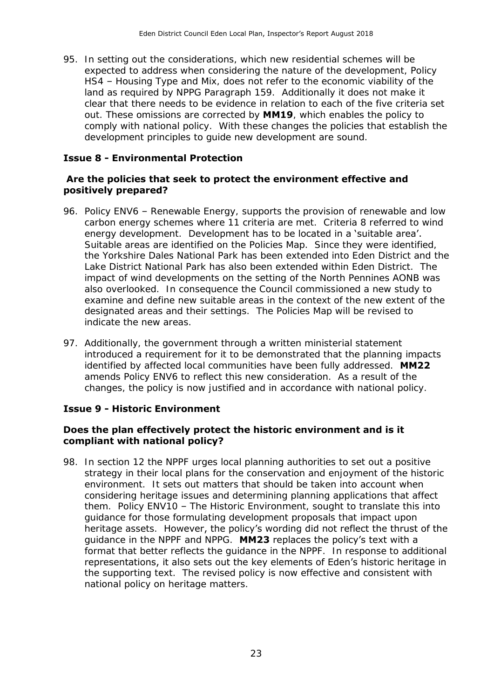95. In setting out the considerations, which new residential schemes will be expected to address when considering the nature of the development, Policy HS4 – Housing Type and Mix, does not refer to the economic viability of the land as required by NPPG Paragraph 159. Additionally it does not make it out. These omissions are corrected by **MM19**, which enables the policy to comply with national policy. With these changes the policies that establish the clear that there needs to be evidence in relation to each of the five criteria set development principles to guide new development are sound.

#### **Issue 8 - Environmental Protection**

#### **Are the policies that seek to protect the environment effective and positively prepared?**

- 96. Policy ENV6 Renewable Energy, supports the provision of renewable and low carbon energy schemes where 11 criteria are met. Criteria 8 referred to wind energy development. Development has to be located in a 'suitable area'. Suitable areas are identified on the Policies Map. Since they were identified, the Yorkshire Dales National Park has been extended into Eden District and the Lake District National Park has also been extended within Eden District. The impact of wind developments on the setting of the North Pennines AONB was also overlooked. In consequence the Council commissioned a new study to designated areas and their settings. The Policies Map will be revised to indicate the new areas. examine and define new suitable areas in the context of the new extent of the
- 97. Additionally, the government through a written ministerial statement identified by affected local communities have been fully addressed. **MM22**  amends Policy ENV6 to reflect this new consideration. As a result of the changes, the policy is now justified and in accordance with national policy. introduced a requirement for it to be demonstrated that the planning impacts

#### **Issue 9 - Historic Environment**

#### **Does the plan effectively protect the historic environment and is it compliant with national policy?**

98. In section 12 the NPPF urges local planning authorities to set out a positive strategy in their local plans for the conservation and enjoyment of the historic environment. It sets out matters that should be taken into account when considering heritage issues and determining planning applications that affect them. Policy ENV10 – The Historic Environment, sought to translate this into heritage assets. However, the policy's wording did not reflect the thrust of the guidance in the NPPF and NPPG. **MM23** replaces the policy's text with a format that better reflects the guidance in the NPPF. In response to additional representations, it also sets out the key elements of Eden's historic heritage in the supporting text. The revised policy is now effective and consistent with national policy on heritage matters. guidance for those formulating development proposals that impact upon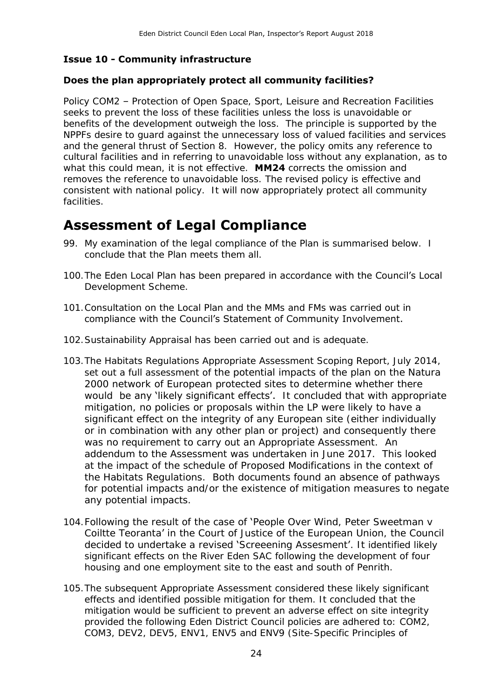#### **Issue 10 - Community infrastructure**

#### **Does the plan appropriately protect all community facilities?**

 Policy COM2 – Protection of Open Space, Sport, Leisure and Recreation Facilities seeks to prevent the loss of these facilities unless the loss is unavoidable or benefits of the development outweigh the loss. The principle is supported by the NPPFs desire to guard against the unnecessary loss of valued facilities and services and the general thrust of Section 8. However, the policy omits any reference to cultural facilities and in referring to unavoidable loss without any explanation, as to what this could mean, it is not effective. **MM24** corrects the omission and consistent with national policy. It will now appropriately protect all community removes the reference to unavoidable loss. The revised policy is effective and facilities.

## **Assessment of Legal Compliance**

- 99. My examination of the legal compliance of the Plan is summarised below. I conclude that the Plan meets them all.
- Development Scheme. 100.The Eden Local Plan has been prepared in accordance with the Council's Local
- 101.Consultation on the Local Plan and the MMs and FMs was carried out in compliance with the Council's Statement of Community Involvement.
- 102.Sustainability Appraisal has been carried out and is adequate.
- 103.The Habitats Regulations Appropriate Assessment Scoping Report, July 2014, set out a full assessment of the potential impacts of the plan on the Natura would be any 'likely significant effects'. It concluded that with appropriate addendum to the Assessment was undertaken in June 2017. This looked the Habitats Regulations. Both documents found an absence of pathways any potential impacts. 2000 network of European protected sites to determine whether there mitigation, no policies or proposals within the LP were likely to have a significant effect on the integrity of any European site (either individually or in combination with any other plan or project) and consequently there was no requirement to carry out an Appropriate Assessment. An at the impact of the schedule of Proposed Modifications in the context of for potential impacts and/or the existence of mitigation measures to negate
- significant effects on the River Eden SAC following the development of four housing and one employment site to the east and south of Penrith. 104.Following the result of the case of 'People Over Wind, Peter Sweetman v Coiltte Teoranta' in the Court of Justice of the European Union, the Council decided to undertake a revised 'Screeening Assesment'. It identified likely
- 105.The subsequent Appropriate Assessment considered these likely significant provided the following Eden District Council policies are adhered to: COM2, COM3, DEV2, DEV5, ENV1, ENV5 and ENV9 (Site-Specific Principles of effects and identified possible mitigation for them. It concluded that the mitigation would be sufficient to prevent an adverse effect on site integrity